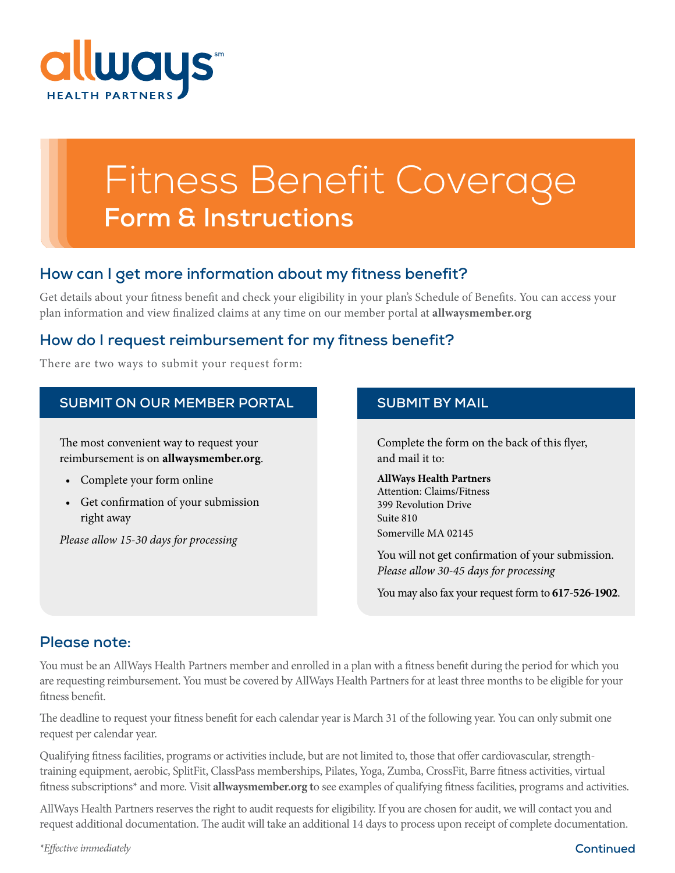

# Fitness Benefit Coverage **Form & Instructions**

#### **How can I get more information about my fitness benefit?**

Get details about your fitness benefit and check your eligibility in your plan's Schedule of Benefits. You can access your plan information and view finalized claims at any time on our member portal at **allwaysmember.org**

### **How do I request reimbursement for my fitness benefit?**

There are two ways to submit your request form:

#### **SUBMIT ON OUR MEMBER PORTAL SUBMIT BY MAIL**

The most convenient way to request your reimbursement is on **allwaysmember.org**.

- Complete your form online
- Get confirmation of your submission right away

*Please allow 15-30 days for processing*

Complete the form on the back of this flyer, and mail it to:

#### **AllWays Health Partners** Attention: Claims/Fitness 399 Revolution Drive Suite 810 Somerville MA 02145

You will not get confirmation of your submission. *Please allow 30-45 days for processing*

You may also fax your request form to **617-526-1902**.

#### **Please note:**

You must be an AllWays Health Partners member and enrolled in a plan with a fitness benefit during the period for which you are requesting reimbursement. You must be covered by AllWays Health Partners for at least three months to be eligible for your fitness benefit.

The deadline to request your fitness benefit for each calendar year is March 31 of the following year. You can only submit one request per calendar year.

Qualifying fitness facilities, programs or activities include, but are not limited to, those that offer cardiovascular, strengthtraining equipment, aerobic, SplitFit, ClassPass memberships, Pilates, Yoga, Zumba, CrossFit, Barre fitness activities, virtual fitness subscriptions\* and more. Visit **allwaysmember.org t**o see examples of qualifying fitness facilities, programs and activities.

AllWays Health Partners reserves the right to audit requests for eligibility. If you are chosen for audit, we will contact you and request additional documentation. The audit will take an additional 14 days to process upon receipt of complete documentation.

*\*Effective immediately* **Continued**